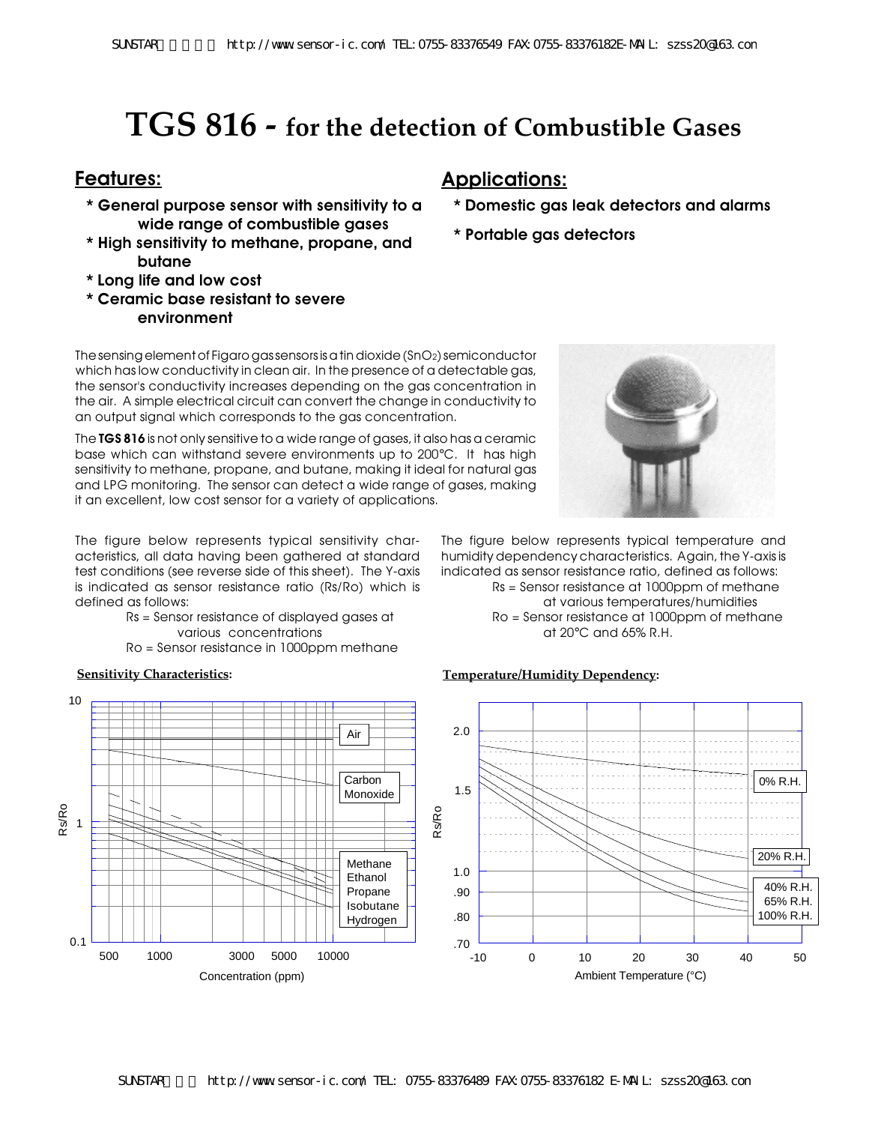# **TGS 816 - for the detection of Combustible Gases**

- **\* General purpose sensor with sensitivity to a wide range of combustible gases**
- **\* High sensitivity to methane, propane, and butane**
- **\* Long life and low cost**
- **\* Ceramic base resistant to severe environment**

## **Features: Applications:**

- **\* Domestic gas leak detectors and alarms**
- **\* Portable gas detectors**

The sensing element of Figaro gas sensors is a tin dioxide (SnO2) semiconductor which has low conductivity in clean air. In the presence of a detectable gas, the sensor's conductivity increases depending on the gas concentration in the air. A simple electrical circuit can convert the change in conductivity to an output signal which corresponds to the gas concentration.

The **TGS 816** is not only sensitive to a wide range of gases, it also has a ceramic base which can withstand severe environments up to 200°C. Ithas high sensitivity to methane, propane, and butane, making it ideal for natural gas and LPG monitoring. The sensor can detect a wide range of gases, making it an excellent, low cost sensor for a variety of applications.

The figure below represents typical sensitivity characteristics, all data having been gathered at standard test conditions (see reverse side of this sheet). The Y-axis is indicated as sensor resistance ratio (Rs/Ro) which is defined as follows:

- Rs = Sensor resistance of displayed gases at various concentrations
- Ro = Sensor resistance in 1000ppm methane





The figure below represents typical temperature and humidity dependency characteristics. Again, the Y-axis is indicated as sensor resistance ratio, defined as follows: Rs = Sensor resistance at 1000ppm of methane at various temperatures/humidities Ro = Sensor resistance at 1000ppm of methane at 20°C and 65% R.H.

### **Sensitivity Characteristics: Temperature/Humidity Dependency:**